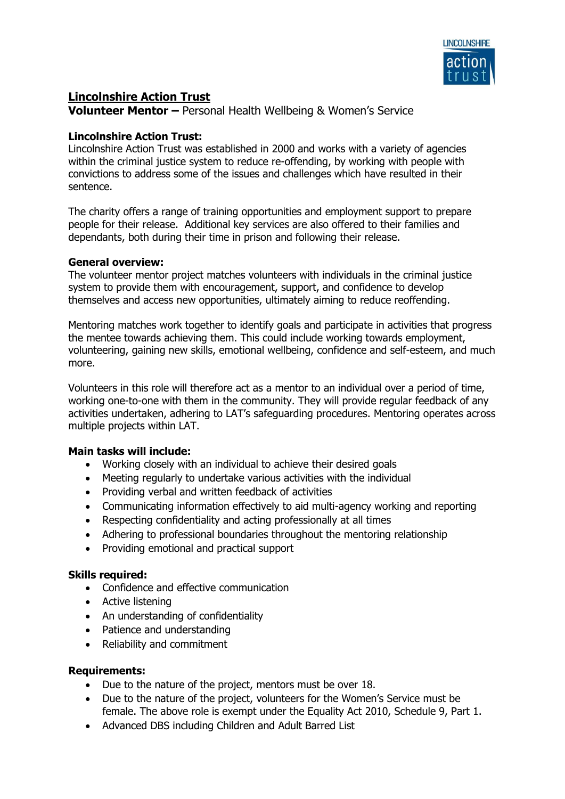

# **Lincolnshire Action Trust**

**Volunteer Mentor –** Personal Health Wellbeing & Women's Service

### **Lincolnshire Action Trust:**

Lincolnshire Action Trust was established in 2000 and works with a variety of agencies within the criminal justice system to reduce re-offending, by working with people with convictions to address some of the issues and challenges which have resulted in their sentence.

The charity offers a range of training opportunities and employment support to prepare people for their release. Additional key services are also offered to their families and dependants, both during their time in prison and following their release.

### **General overview:**

The volunteer mentor project matches volunteers with individuals in the criminal justice system to provide them with encouragement, support, and confidence to develop themselves and access new opportunities, ultimately aiming to reduce reoffending.

Mentoring matches work together to identify goals and participate in activities that progress the mentee towards achieving them. This could include working towards employment, volunteering, gaining new skills, emotional wellbeing, confidence and self-esteem, and much more.

Volunteers in this role will therefore act as a mentor to an individual over a period of time, working one-to-one with them in the community. They will provide regular feedback of any activities undertaken, adhering to LAT's safeguarding procedures. Mentoring operates across multiple projects within LAT.

# **Main tasks will include:**

- Working closely with an individual to achieve their desired goals
- Meeting regularly to undertake various activities with the individual
- Providing verbal and written feedback of activities
- Communicating information effectively to aid multi-agency working and reporting
- Respecting confidentiality and acting professionally at all times
- Adhering to professional boundaries throughout the mentoring relationship
- Providing emotional and practical support

#### **Skills required:**

- Confidence and effective communication
- Active listening
- An understanding of confidentiality
- Patience and understanding
- Reliability and commitment

#### **Requirements:**

- Due to the nature of the project, mentors must be over 18.
- Due to the nature of the project, volunteers for the Women's Service must be female. The above role is exempt under the Equality Act 2010, Schedule 9, Part 1.
- Advanced DBS including Children and Adult Barred List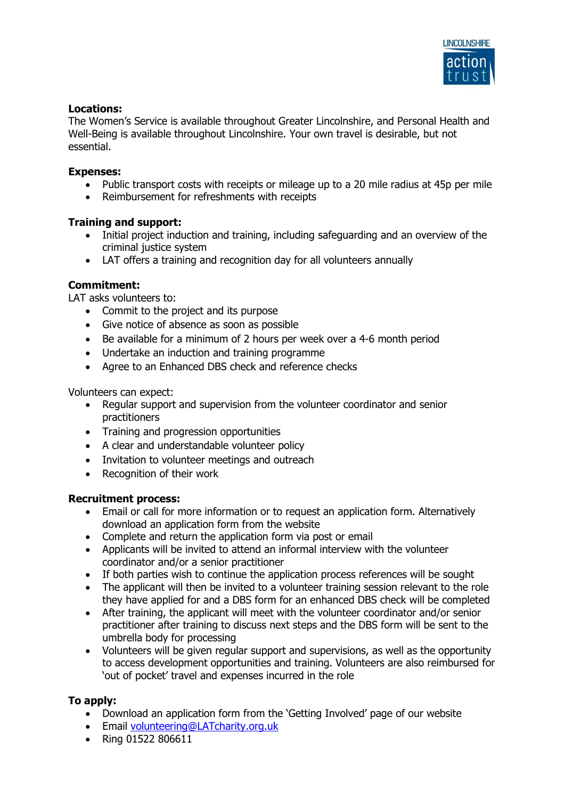

### **Locations:**

The Women's Service is available throughout Greater Lincolnshire, and Personal Health and Well-Being is available throughout Lincolnshire. Your own travel is desirable, but not essential.

#### **Expenses:**

- Public transport costs with receipts or mileage up to a 20 mile radius at 45p per mile
- Reimbursement for refreshments with receipts

### **Training and support:**

- Initial project induction and training, including safeguarding and an overview of the criminal justice system
- LAT offers a training and recognition day for all volunteers annually

# **Commitment:**

LAT asks volunteers to:

- Commit to the project and its purpose
- Give notice of absence as soon as possible
- Be available for a minimum of 2 hours per week over a 4-6 month period
- Undertake an induction and training programme
- Agree to an Enhanced DBS check and reference checks

Volunteers can expect:

- Regular support and supervision from the volunteer coordinator and senior practitioners
- Training and progression opportunities
- A clear and understandable volunteer policy
- Invitation to volunteer meetings and outreach
- Recognition of their work

#### **Recruitment process:**

- Email or call for more information or to request an application form. Alternatively download an application form from the website
- Complete and return the application form via post or email
- Applicants will be invited to attend an informal interview with the volunteer coordinator and/or a senior practitioner
- If both parties wish to continue the application process references will be sought
- The applicant will then be invited to a volunteer training session relevant to the role they have applied for and a DBS form for an enhanced DBS check will be completed
- After training, the applicant will meet with the volunteer coordinator and/or senior practitioner after training to discuss next steps and the DBS form will be sent to the umbrella body for processing
- Volunteers will be given regular support and supervisions, as well as the opportunity to access development opportunities and training. Volunteers are also reimbursed for 'out of pocket' travel and expenses incurred in the role

# **To apply:**

- Download an application form from the 'Getting Involved' page of our website
- Email [volunteering@LATcharity.org.uk](mailto:volunteering@LATcharity.org.uk)
- Ring 01522 806611